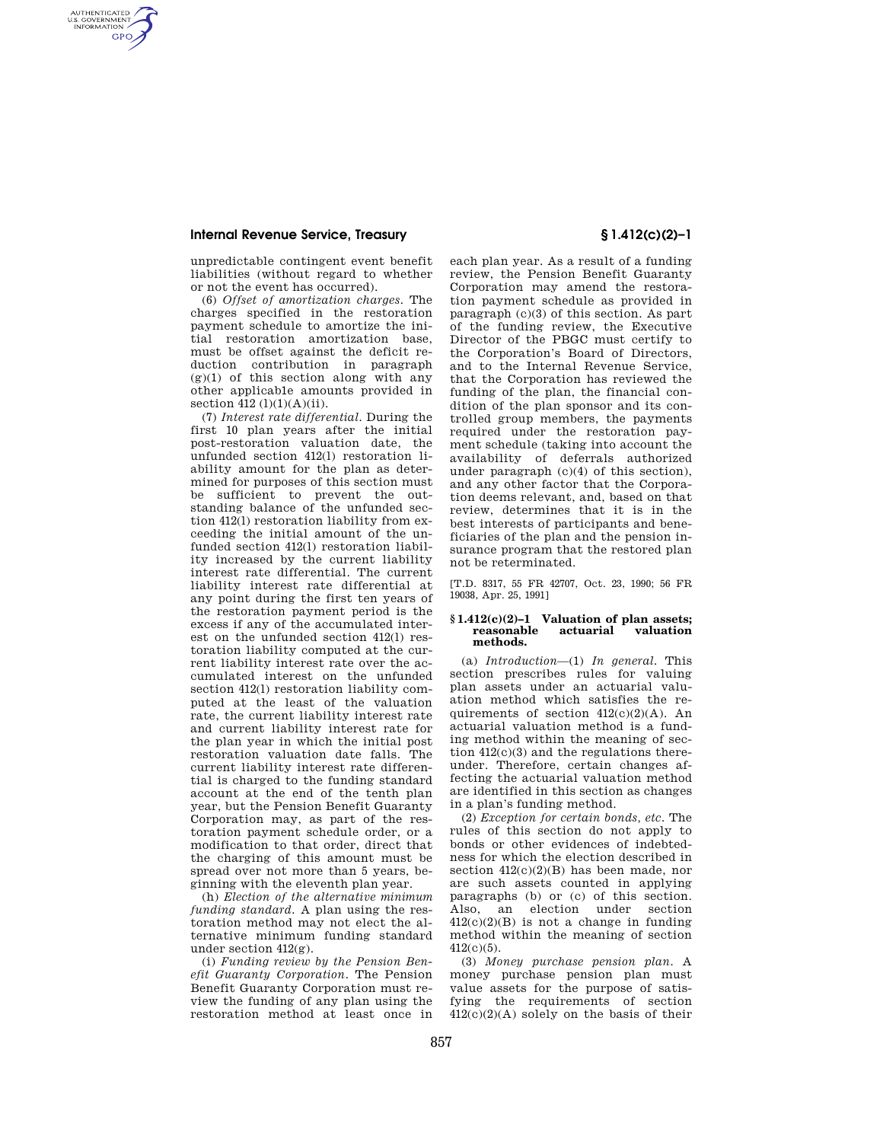### **Internal Revenue Service, Treasury § 1.412(c)(2)–1**

AUTHENTICATED<br>U.S. GOVERNMENT<br>INFORMATION **GPO** 

> unpredictable contingent event benefit liabilities (without regard to whether or not the event has occurred).

(6) *Offset of amortization charges.* The charges specified in the restoration payment schedule to amortize the initial restoration amortization base, must be offset against the deficit reduction contribution in paragraph  $(g)(1)$  of this section along with any other applicab1e amounts provided in section  $412 (1)(1)(A)(ii)$ .

(7) *Interest rate differential.* During the first 10 plan years after the initial post-restoration valuation date, the unfunded section 412(l) restoration liability amount for the plan as determined for purposes of this section must be sufficient to prevent the outstanding balance of the unfunded section 412(l) restoration liability from exceeding the initial amount of the unfunded section 412(l) restoration liability increased by the current liability interest rate differential. The current liability interest rate differential at any point during the first ten years of the restoration payment period is the excess if any of the accumulated interest on the unfunded section 412(l) restoration liability computed at the current liability interest rate over the accumulated interest on the unfunded section 412(l) restoration liability computed at the least of the valuation rate, the current liability interest rate and current liability interest rate for the plan year in which the initial post restoration valuation date falls. The current liability interest rate differential is charged to the funding standard account at the end of the tenth plan year, but the Pension Benefit Guaranty Corporation may, as part of the restoration payment schedule order, or a modification to that order, direct that the charging of this amount must be spread over not more than 5 years, beginning with the eleventh plan year.

(h) *Election of the alternative minimum funding standard.* A plan using the restoration method may not elect the alternative minimum funding standard under section 412(g).

(i) *Funding review by the Pension Benefit Guaranty Corporation.* The Pension Benefit Guaranty Corporation must review the funding of any plan using the restoration method at least once in

each plan year. As a result of a funding review, the Pension Benefit Guaranty Corporation may amend the restoration payment schedule as provided in paragraph (c)(3) of this section. As part of the funding review, the Executive Director of the PBGC must certify to the Corporation's Board of Directors, and to the Internal Revenue Service, that the Corporation has reviewed the funding of the plan, the financial condition of the plan sponsor and its controlled group members, the payments required under the restoration payment schedule (taking into account the availability of deferrals authorized under paragraph  $(c)(4)$  of this section), and any other factor that the Corporation deems relevant, and, based on that review, determines that it is in the best interests of participants and beneficiaries of the plan and the pension insurance program that the restored plan not be reterminated.

[T.D. 8317, 55 FR 42707, Oct. 23, 1990; 56 FR 19038, Apr. 25, 1991]

#### **§ 1.412(c)(2)–1 Valuation of plan assets; reasonable methods.**

(a) *Introduction*—(1) *In general.* This section prescribes rules for valuing plan assets under an actuarial valuation method which satisfies the requirements of section  $412(c)(2)(A)$ . An actuarial valuation method is a funding method within the meaning of section 412(c)(3) and the regulations thereunder. Therefore, certain changes affecting the actuarial valuation method are identified in this section as changes in a plan's funding method.

(2) *Exception for certain bonds, etc.* The rules of this section do not apply to bonds or other evidences of indebtedness for which the election described in section  $412(c)(2)(B)$  has been made, nor are such assets counted in applying paragraphs (b) or (c) of this section. Also, an election under section  $412(c)(2)(B)$  is not a change in funding method within the meaning of section 412(c)(5).

(3) *Money purchase pension plan.* A money purchase pension plan must value assets for the purpose of satisfying the requirements of section  $412(c)(2)(A)$  solely on the basis of their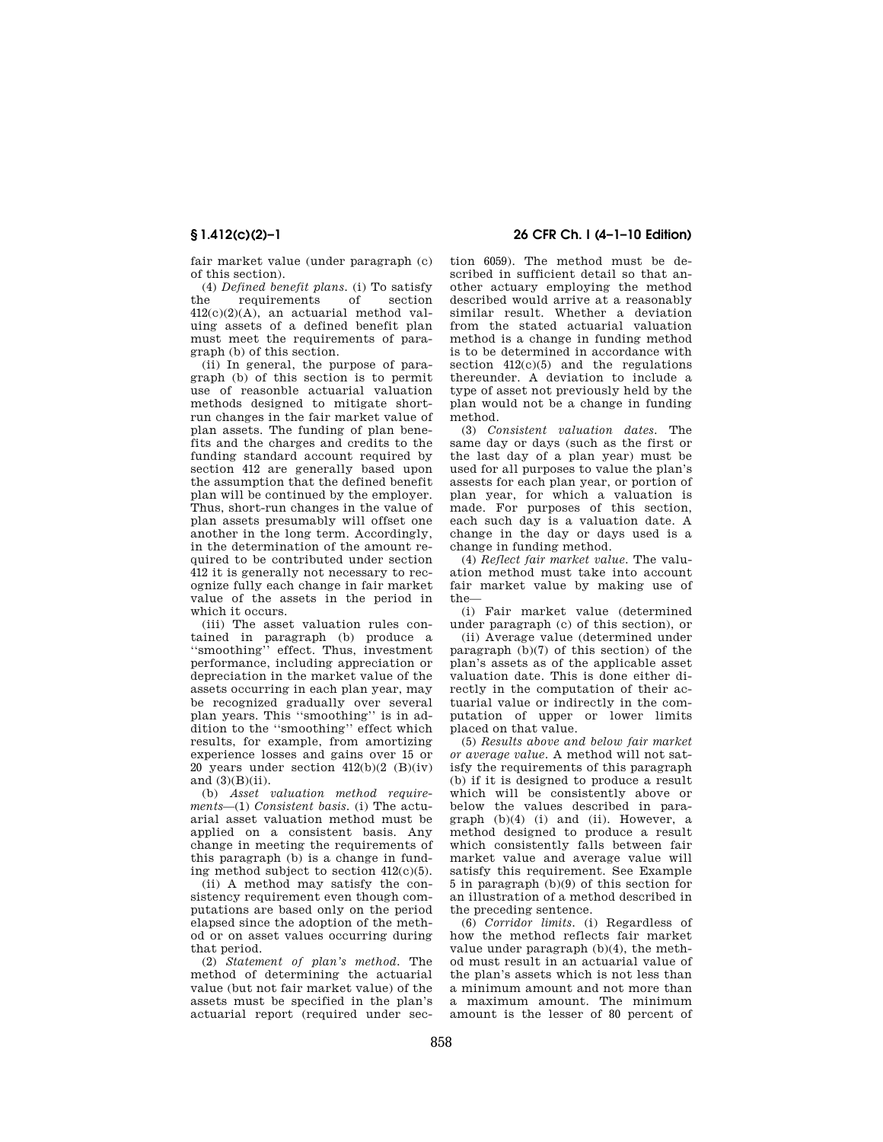fair market value (under paragraph (c) of this section).

(4) *Defined benefit plans.* (i) To satisfy requirements 412(c)(2)(A), an actuarial method valuing assets of a defined benefit plan must meet the requirements of paragraph (b) of this section.

(ii) In general, the purpose of paragraph (b) of this section is to permit use of reasonble actuarial valuation methods designed to mitigate shortrun changes in the fair market value of plan assets. The funding of plan benefits and the charges and credits to the funding standard account required by section 412 are generally based upon the assumption that the defined benefit plan will be continued by the employer. Thus, short-run changes in the value of plan assets presumably will offset one another in the long term. Accordingly, in the determination of the amount required to be contributed under section 412 it is generally not necessary to recognize fully each change in fair market value of the assets in the period in which it occurs.

(iii) The asset valuation rules contained in paragraph (b) produce a ''smoothing'' effect. Thus, investment performance, including appreciation or depreciation in the market value of the assets occurring in each plan year, may be recognized gradually over several plan years. This ''smoothing'' is in addition to the ''smoothing'' effect which results, for example, from amortizing experience losses and gains over 15 or 20 years under section  $412(b)(2)(B)(iv)$ and  $(3)(B)(ii)$ .

(b) *Asset valuation method requirements*—(1) *Consistent basis.* (i) The actuarial asset valuation method must be applied on a consistent basis. Any change in meeting the requirements of this paragraph (b) is a change in funding method subject to section 412(c)(5).

(ii) A method may satisfy the consistency requirement even though computations are based only on the period elapsed since the adoption of the method or on asset values occurring during that period.

(2) *Statement of plan's method.* The method of determining the actuarial value (but not fair market value) of the assets must be specified in the plan's actuarial report (required under sec-

# **§ 1.412(c)(2)–1 26 CFR Ch. I (4–1–10 Edition)**

tion 6059). The method must be described in sufficient detail so that another actuary employing the method described would arrive at a reasonably similar result. Whether a deviation from the stated actuarial valuation method is a change in funding method is to be determined in accordance with section  $412(c)(5)$  and the regulations thereunder. A deviation to include a type of asset not previously held by the plan would not be a change in funding method.

(3) *Consistent valuation dates.* The same day or days (such as the first or the last day of a plan year) must be used for all purposes to value the plan's assests for each plan year, or portion of plan year, for which a valuation is made. For purposes of this section, each such day is a valuation date. A change in the day or days used is a change in funding method.

(4) *Reflect fair market value.* The valuation method must take into account fair market value by making use of the—

(i) Fair market value (determined under paragraph (c) of this section), or

(ii) Average value (determined under paragraph (b)(7) of this section) of the plan's assets as of the applicable asset valuation date. This is done either directly in the computation of their actuarial value or indirectly in the computation of upper or lower limits placed on that value.

(5) *Results above and below fair market or average value.* A method will not satisfy the requirements of this paragraph (b) if it is designed to produce a result which will be consistently above or below the values described in paragraph  $(b)(4)$  (i) and (ii). However, a method designed to produce a result which consistently falls between fair market value and average value will satisfy this requirement. See Example 5 in paragraph (b)(9) of this section for an illustration of a method described in the preceding sentence.

(6) *Corridor limits.* (i) Regardless of how the method reflects fair market value under paragraph (b)(4), the method must result in an actuarial value of the plan's assets which is not less than a minimum amount and not more than a maximum amount. The minimum amount is the lesser of 80 percent of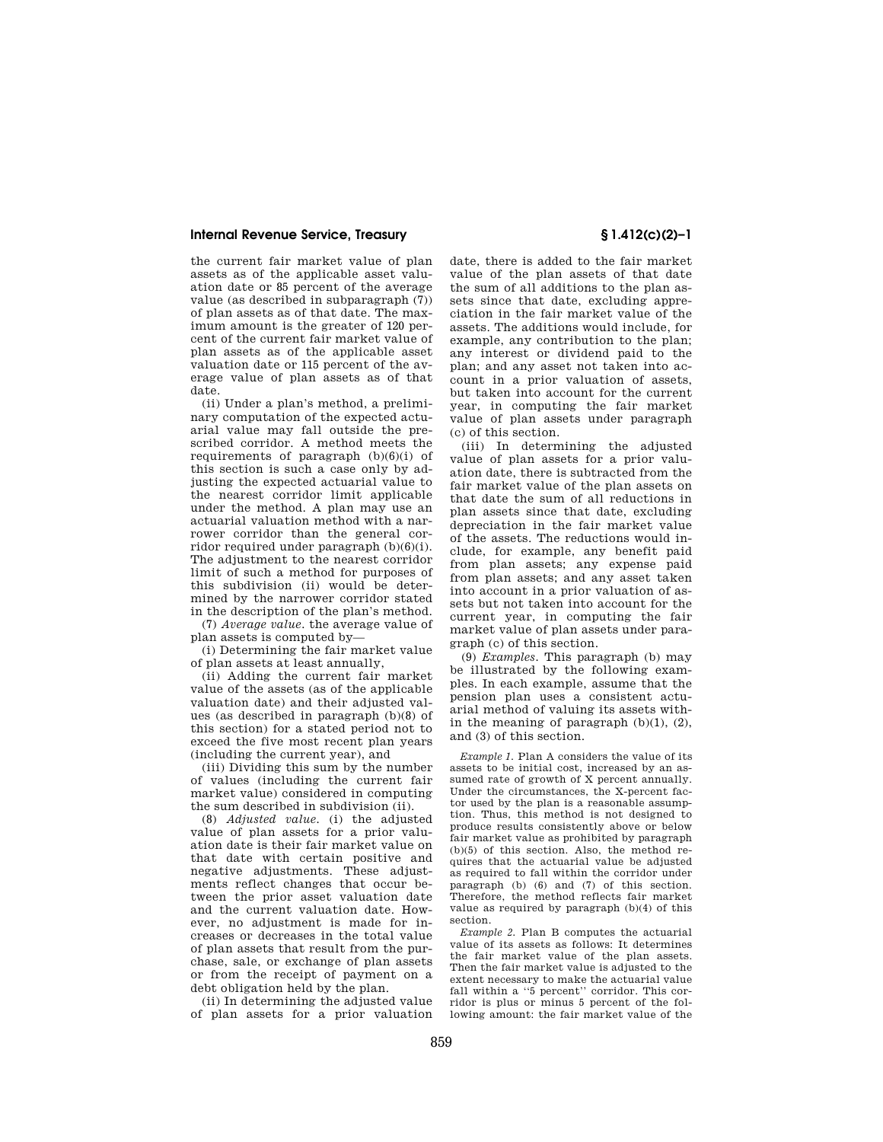### **Internal Revenue Service, Treasury § 1.412(c)(2)–1**

the current fair market value of plan assets as of the applicable asset valuation date or 85 percent of the average value (as described in subparagraph (7)) of plan assets as of that date. The maximum amount is the greater of 120 percent of the current fair market value of plan assets as of the applicable asset valuation date or 115 percent of the average value of plan assets as of that date.

(ii) Under a plan's method, a preliminary computation of the expected actuarial value may fall outside the prescribed corridor. A method meets the requirements of paragraph  $(b)(6)(i)$  of this section is such a case only by adjusting the expected actuarial value to the nearest corridor limit applicable under the method. A plan may use an actuarial valuation method with a narrower corridor than the general corridor required under paragraph (b)(6)(i). The adjustment to the nearest corridor limit of such a method for purposes of this subdivision (ii) would be determined by the narrower corridor stated in the description of the plan's method.

(7) *Average value.* the average value of plan assets is computed by—

(i) Determining the fair market value of plan assets at least annually,

(ii) Adding the current fair market value of the assets (as of the applicable valuation date) and their adjusted values (as described in paragraph (b)(8) of this section) for a stated period not to exceed the five most recent plan years (including the current year), and

(iii) Dividing this sum by the number of values (including the current fair market value) considered in computing the sum described in subdivision (ii).

(8) *Adjusted value.* (i) the adjusted value of plan assets for a prior valuation date is their fair market value on that date with certain positive and negative adjustments. These adjustments reflect changes that occur between the prior asset valuation date and the current valuation date. However, no adjustment is made for increases or decreases in the total value of plan assets that result from the purchase, sale, or exchange of plan assets or from the receipt of payment on a debt obligation held by the plan.

(ii) In determining the adjusted value of plan assets for a prior valuation

date, there is added to the fair market value of the plan assets of that date the sum of all additions to the plan assets since that date, excluding appreciation in the fair market value of the assets. The additions would include, for example, any contribution to the plan; any interest or dividend paid to the plan; and any asset not taken into account in a prior valuation of assets, but taken into account for the current year, in computing the fair market value of plan assets under paragraph (c) of this section.

(iii) In determining the adjusted value of plan assets for a prior valuation date, there is subtracted from the fair market value of the plan assets on that date the sum of all reductions in plan assets since that date, excluding depreciation in the fair market value of the assets. The reductions would include, for example, any benefit paid from plan assets; any expense paid from plan assets; and any asset taken into account in a prior valuation of assets but not taken into account for the current year, in computing the fair market value of plan assets under paragraph (c) of this section.

(9) *Examples.* This paragraph (b) may be illustrated by the following examples. In each example, assume that the pension plan uses a consistent actuarial method of valuing its assets within the meaning of paragraph  $(b)(1)$ ,  $(2)$ , and (3) of this section.

*Example 1.* Plan A considers the value of its assets to be initial cost, increased by an assumed rate of growth of X percent annually. Under the circumstances, the X-percent factor used by the plan is a reasonable assumption. Thus, this method is not designed to produce results consistently above or below fair market value as prohibited by paragraph (b)(5) of this section. Also, the method requires that the actuarial value be adjusted as required to fall within the corridor under paragraph (b) (6) and (7) of this section. Therefore, the method reflects fair market value as required by paragraph (b)(4) of this section.

*Example 2.* Plan B computes the actuarial value of its assets as follows: It determines the fair market value of the plan assets. Then the fair market value is adjusted to the extent necessary to make the actuarial value fall within a ''5 percent'' corridor. This corridor is plus or minus 5 percent of the following amount: the fair market value of the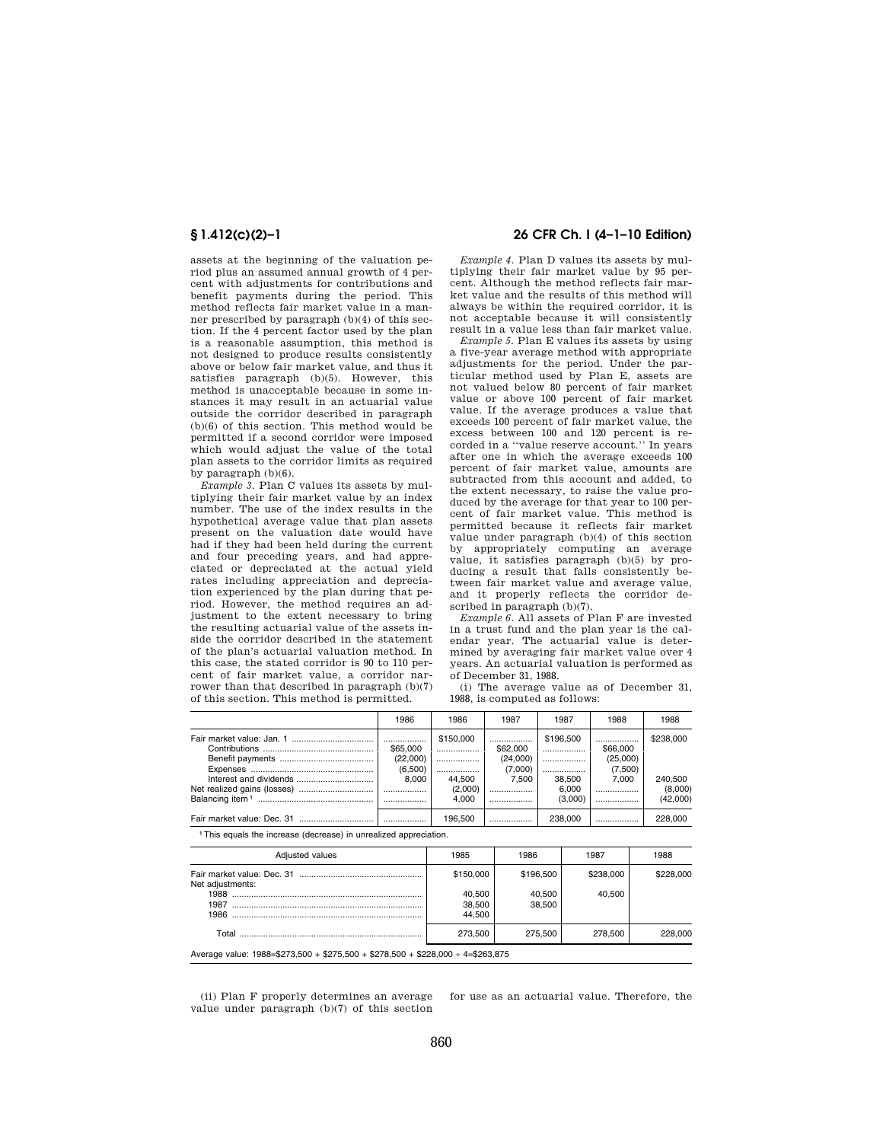assets at the beginning of the valuation period plus an assumed annual growth of 4 percent with adjustments for contributions and benefit payments during the period. This method reflects fair market value in a manner prescribed by paragraph (b)(4) of this section. If the 4 percent factor used by the plan is a reasonable assumption, this method is not designed to produce results consistently above or below fair market value, and thus it satisfies paragraph (b)(5). However, this method is unacceptable because in some instances it may result in an actuarial value outside the corridor described in paragraph (b)(6) of this section. This method would be permitted if a second corridor were imposed which would adjust the value of the total plan assets to the corridor limits as required by paragraph (b)(6).

*Example 3.* Plan C values its assets by multiplying their fair market value by an index number. The use of the index results in the hypothetical average value that plan assets present on the valuation date would have had if they had been held during the current and four preceding years, and had appreciated or depreciated at the actual yield rates including appreciation and depreciation experienced by the plan during that period. However, the method requires an adjustment to the extent necessary to bring the resulting actuarial value of the assets inside the corridor described in the statement of the plan's actuarial valuation method. In this case, the stated corridor is 90 to 110 percent of fair market value, a corridor narrower than that described in paragraph (b)(7) of this section. This method is permitted.

## **§ 1.412(c)(2)–1 26 CFR Ch. I (4–1–10 Edition)**

*Example 4.* Plan D values its assets by multiplying their fair market value by 95 percent. Although the method reflects fair market value and the results of this method will always be within the required corridor, it is not acceptable because it will consistently result in a value less than fair market value.

*Example 5.* Plan E values its assets by using a five-year average method with appropriate adjustments for the period. Under the particular method used by Plan E, assets are not valued below 80 percent of fair market value or above 100 percent of fair market value. If the average produces a value that exceeds 100 percent of fair market value, the excess between 100 and 120 percent is recorded in a ''value reserve account.'' In years after one in which the average exceeds 100 percent of fair market value, amounts are subtracted from this account and added, to the extent necessary, to raise the value produced by the average for that year to 100 percent of fair market value. This method is permitted because it reflects fair market value under paragraph (b)(4) of this section by appropriately computing an average value, it satisfies paragraph (b)(5) by producing a result that falls consistently between fair market value and average value, and it properly reflects the corridor described in paragraph (b)(7).

*Example 6.* All assets of Plan F are invested in a trust fund and the plan year is the calendar year. The actuarial value is determined by averaging fair market value over 4 years. An actuarial valuation is performed as of December 31, 1988.

(i) The average value as of December 31, 1988, is computed as follows:

| 1986                                          | 1986                                            | 1987                                                 | 1987                                            | 1988                                                 | 1988                                        |
|-----------------------------------------------|-------------------------------------------------|------------------------------------------------------|-------------------------------------------------|------------------------------------------------------|---------------------------------------------|
| .<br>\$65,000<br>(22.000)<br>(6,500)<br>8.000 | \$150,000<br><br><br>44.500<br>(2,000)<br>4.000 | <br>\$62,000<br>(24,000)<br>(7,000)<br>7.500<br><br> | \$196,500<br><br><br>38.500<br>6.000<br>(3.000) | <br>\$66,000<br>(25,000)<br>(7,500)<br>7.000<br><br> | \$238,000<br>240,500<br>(8,000)<br>(42,000) |
|                                               | 196.500                                         |                                                      | 238.000                                         |                                                      | 228,000                                     |

1This equals the increase (decrease) in unrealized appreciation.

| Adjusted values                                                                  | 1985                       | 1986             | 1987      | 1988      |
|----------------------------------------------------------------------------------|----------------------------|------------------|-----------|-----------|
| Net adjustments:                                                                 | \$150,000                  | \$196,500        | \$238,000 | \$228,000 |
|                                                                                  | 40.500<br>38,500<br>44.500 | 40.500<br>38,500 | 40,500    |           |
|                                                                                  | 273.500                    | 275.500          | 278,500   | 228,000   |
| Average value: $1988 = $273,500 + $275,500 + $278,500 + $228,000 + 4 = $263,875$ |                            |                  |           |           |

(ii) Plan F properly determines an average value under paragraph (b)(7) of this section for use as an actuarial value. Therefore, the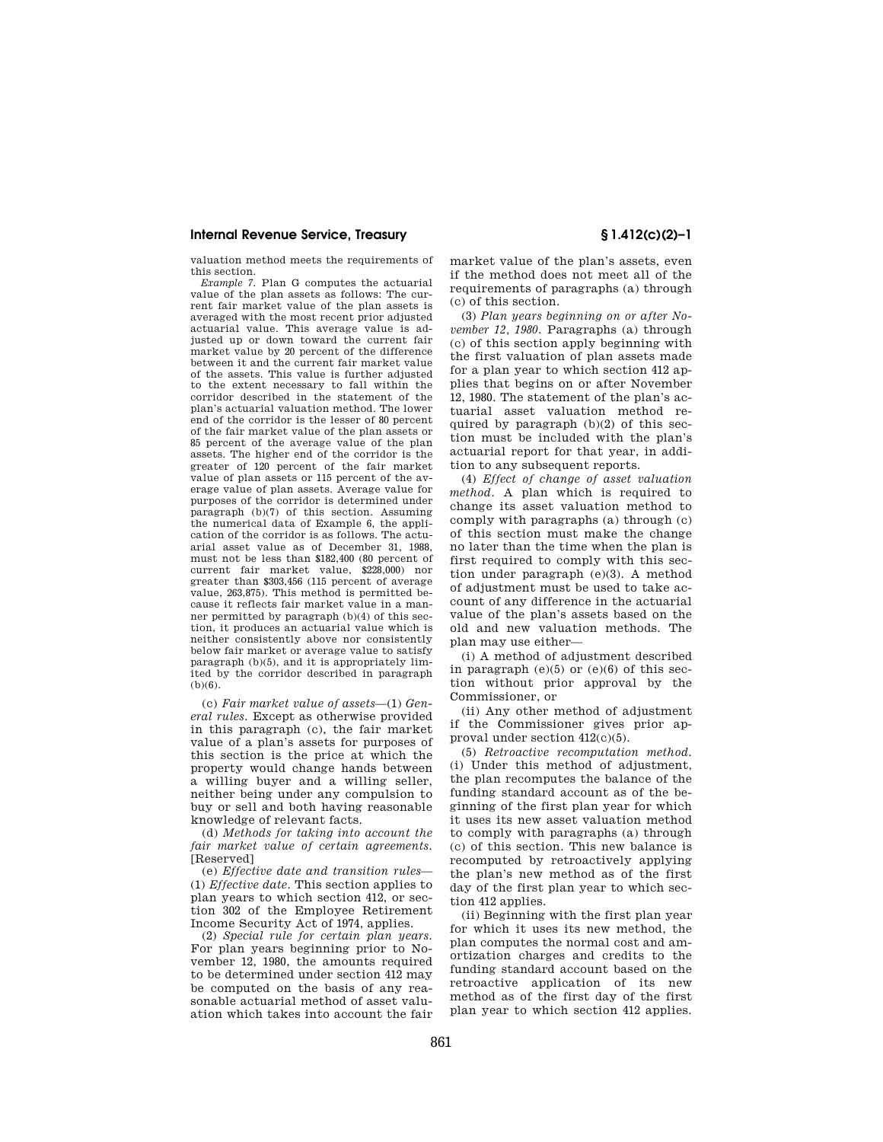### **Internal Revenue Service, Treasury § 1.412(c)(2)–1**

valuation method meets the requirements of this section.

*Example 7.* Plan G computes the actuarial value of the plan assets as follows: The current fair market value of the plan assets is averaged with the most recent prior adjusted actuarial value. This average value is adjusted up or down toward the current fair market value by 20 percent of the difference between it and the current fair market value of the assets. This value is further adjusted to the extent necessary to fall within the corridor described in the statement of the plan's actuarial valuation method. The lower end of the corridor is the lesser of 80 percent of the fair market value of the plan assets or 85 percent of the average value of the plan assets. The higher end of the corridor is the greater of 120 percent of the fair market value of plan assets or 115 percent of the average value of plan assets. Average value for purposes of the corridor is determined under paragraph (b)(7) of this section. Assuming the numerical data of Example 6, the application of the corridor is as follows. The actuarial asset value as of December 31, 1988, must not be less than \$182,400 (80 percent of current fair market value, \$228,000) nor greater than \$303,456 (115 percent of average value, 263,875). This method is permitted because it reflects fair market value in a manner permitted by paragraph (b)(4) of this section, it produces an actuarial value which is neither consistently above nor consistently below fair market or average value to satisfy paragraph (b)(5), and it is appropriately limited by the corridor described in paragraph (b)(6).

(c) *Fair market value of assets*—(1) *General rules.* Except as otherwise provided in this paragraph (c), the fair market value of a plan's assets for purposes of this section is the price at which the property would change hands between a willing buyer and a willing seller, neither being under any compulsion to buy or sell and both having reasonable knowledge of relevant facts.

(d) *Methods for taking into account the fair market value of certain agreements.*  [Reserved]

(e) *Effective date and transition rules*— (1) *Effective date.* This section applies to plan years to which section 412, or section 302 of the Employee Retirement Income Security Act of 1974, applies.

(2) *Special rule for certain plan years.*  For plan years beginning prior to November 12, 1980, the amounts required to be determined under section 412 may be computed on the basis of any reasonable actuarial method of asset valuation which takes into account the fair market value of the plan's assets, even if the method does not meet all of the requirements of paragraphs (a) through (c) of this section.

(3) *Plan years beginning on or after November 12, 1980.* Paragraphs (a) through (c) of this section apply beginning with the first valuation of plan assets made for a plan year to which section 412 applies that begins on or after November 12, 1980. The statement of the plan's actuarial asset valuation method required by paragraph  $(b)(2)$  of this section must be included with the plan's actuarial report for that year, in addition to any subsequent reports.

(4) *Effect of change of asset valuation method.* A plan which is required to change its asset valuation method to comply with paragraphs (a) through (c) of this section must make the change no later than the time when the plan is first required to comply with this section under paragraph (e)(3). A method of adjustment must be used to take account of any difference in the actuarial value of the plan's assets based on the old and new valuation methods. The plan may use either—

(i) A method of adjustment described in paragraph  $(e)(5)$  or  $(e)(6)$  of this section without prior approval by the Commissioner, or

(ii) Any other method of adjustment if the Commissioner gives prior approval under section 412(c)(5).

(5) *Retroactive recomputation method.*  (i) Under this method of adjustment, the plan recomputes the balance of the funding standard account as of the beginning of the first plan year for which it uses its new asset valuation method to comply with paragraphs (a) through (c) of this section. This new balance is recomputed by retroactively applying the plan's new method as of the first day of the first plan year to which section 412 applies.

(ii) Beginning with the first plan year for which it uses its new method, the plan computes the normal cost and amortization charges and credits to the funding standard account based on the retroactive application of its new method as of the first day of the first plan year to which section 412 applies.